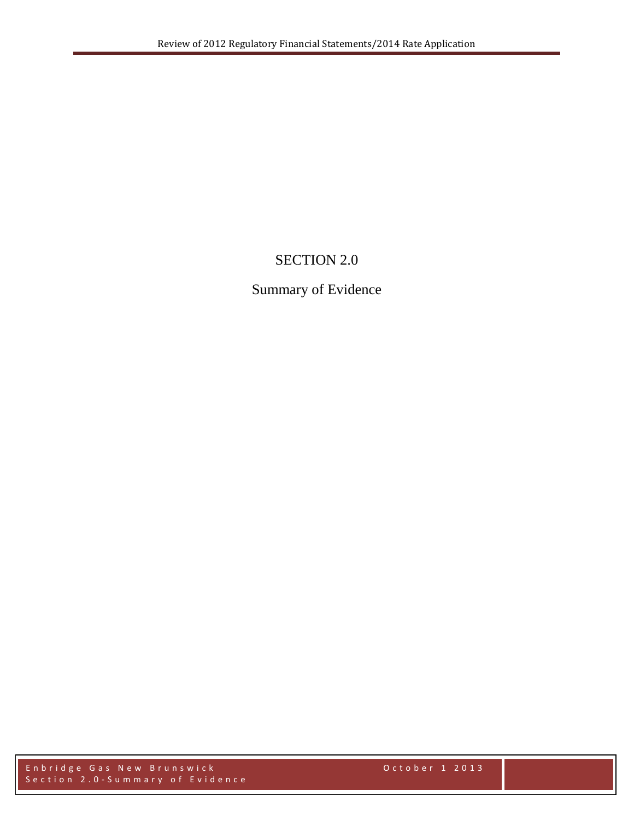# SECTION 2.0

## Summary of Evidence

Enbridge Gas New Brunswick October 1 2013 Section 2.0 - Summary of Evidence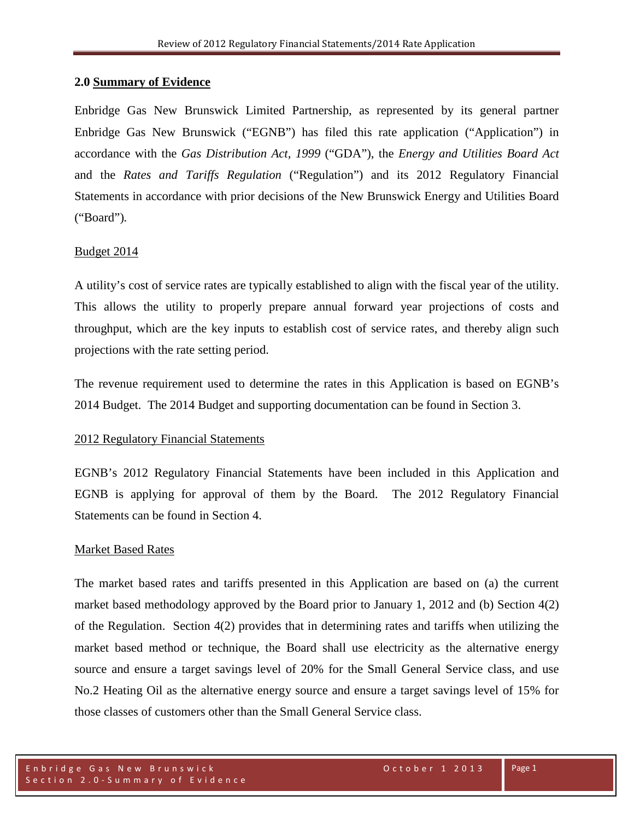## **2.0 Summary of Evidence**

Enbridge Gas New Brunswick Limited Partnership, as represented by its general partner Enbridge Gas New Brunswick ("EGNB") has filed this rate application ("Application") in accordance with the *Gas Distribution Act, 1999* ("GDA"), the *Energy and Utilities Board Act* and the *Rates and Tariffs Regulation* ("Regulation") and its 2012 Regulatory Financial Statements in accordance with prior decisions of the New Brunswick Energy and Utilities Board ("Board")*.* 

### Budget 2014

A utility's cost of service rates are typically established to align with the fiscal year of the utility. This allows the utility to properly prepare annual forward year projections of costs and throughput, which are the key inputs to establish cost of service rates, and thereby align such projections with the rate setting period.

The revenue requirement used to determine the rates in this Application is based on EGNB's 2014 Budget. The 2014 Budget and supporting documentation can be found in Section 3.

#### 2012 Regulatory Financial Statements

EGNB's 2012 Regulatory Financial Statements have been included in this Application and EGNB is applying for approval of them by the Board. The 2012 Regulatory Financial Statements can be found in Section 4.

#### Market Based Rates

The market based rates and tariffs presented in this Application are based on (a) the current market based methodology approved by the Board prior to January 1, 2012 and (b) Section 4(2) of the Regulation. Section 4(2) provides that in determining rates and tariffs when utilizing the market based method or technique, the Board shall use electricity as the alternative energy source and ensure a target savings level of 20% for the Small General Service class, and use No.2 Heating Oil as the alternative energy source and ensure a target savings level of 15% for those classes of customers other than the Small General Service class.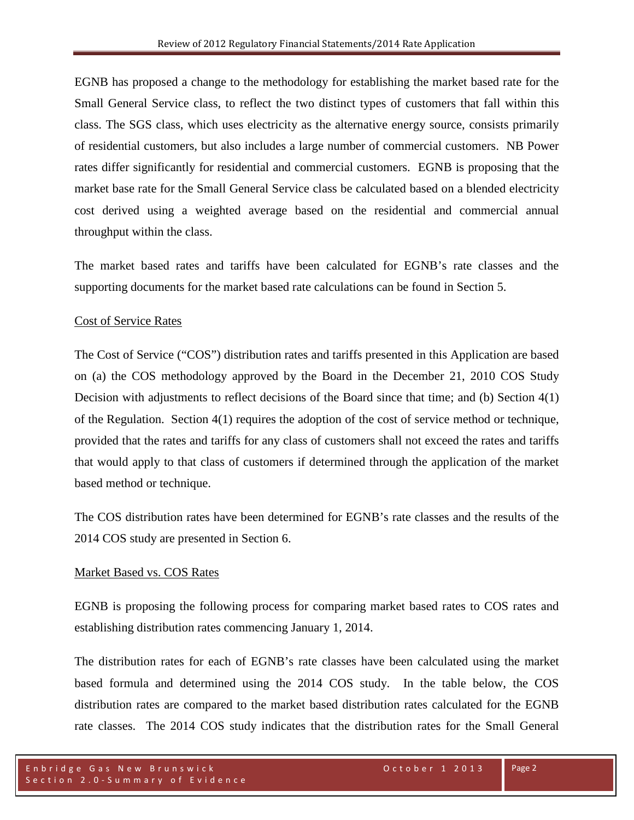EGNB has proposed a change to the methodology for establishing the market based rate for the Small General Service class, to reflect the two distinct types of customers that fall within this class. The SGS class, which uses electricity as the alternative energy source, consists primarily of residential customers, but also includes a large number of commercial customers. NB Power rates differ significantly for residential and commercial customers. EGNB is proposing that the market base rate for the Small General Service class be calculated based on a blended electricity cost derived using a weighted average based on the residential and commercial annual throughput within the class.

The market based rates and tariffs have been calculated for EGNB's rate classes and the supporting documents for the market based rate calculations can be found in Section 5.

## Cost of Service Rates

The Cost of Service ("COS") distribution rates and tariffs presented in this Application are based on (a) the COS methodology approved by the Board in the December 21, 2010 COS Study Decision with adjustments to reflect decisions of the Board since that time; and (b) Section 4(1) of the Regulation. Section 4(1) requires the adoption of the cost of service method or technique, provided that the rates and tariffs for any class of customers shall not exceed the rates and tariffs that would apply to that class of customers if determined through the application of the market based method or technique.

The COS distribution rates have been determined for EGNB's rate classes and the results of the 2014 COS study are presented in Section 6.

## Market Based vs. COS Rates

EGNB is proposing the following process for comparing market based rates to COS rates and establishing distribution rates commencing January 1, 2014.

The distribution rates for each of EGNB's rate classes have been calculated using the market based formula and determined using the 2014 COS study. In the table below, the COS distribution rates are compared to the market based distribution rates calculated for the EGNB rate classes. The 2014 COS study indicates that the distribution rates for the Small General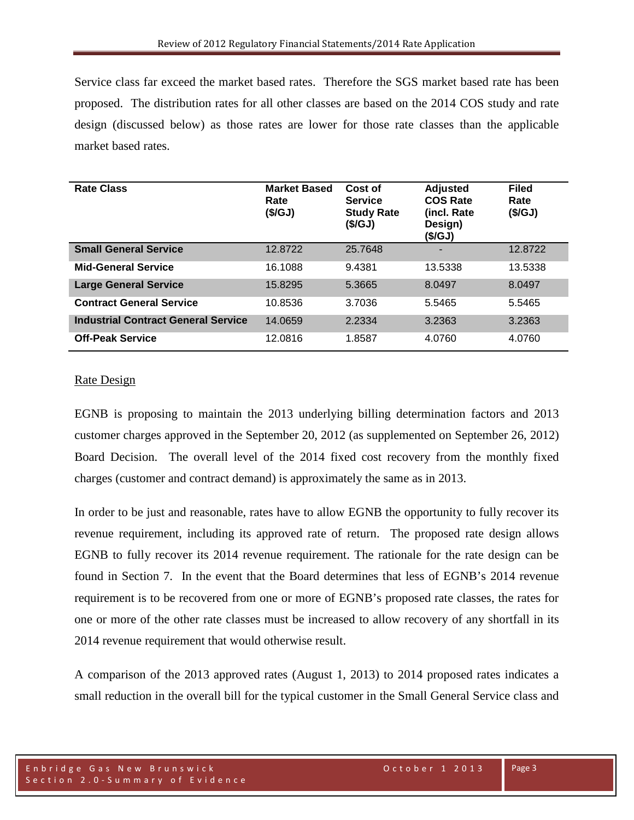Service class far exceed the market based rates. Therefore the SGS market based rate has been proposed. The distribution rates for all other classes are based on the 2014 COS study and rate design (discussed below) as those rates are lower for those rate classes than the applicable market based rates.

| <b>Rate Class</b>                          | <b>Market Based</b><br>Rate<br>(\$/GJ) | Cost of<br><b>Service</b><br><b>Study Rate</b><br>(\$/GJ) | <b>Adjusted</b><br><b>COS Rate</b><br>(incl. Rate<br>Design)<br>(\$/GJ) | <b>Filed</b><br>Rate<br>(\$/GJ) |
|--------------------------------------------|----------------------------------------|-----------------------------------------------------------|-------------------------------------------------------------------------|---------------------------------|
| <b>Small General Service</b>               | 12.8722                                | 25.7648                                                   |                                                                         | 12.8722                         |
| <b>Mid-General Service</b>                 | 16.1088                                | 9.4381                                                    | 13.5338                                                                 | 13.5338                         |
| <b>Large General Service</b>               | 15.8295                                | 5.3665                                                    | 8.0497                                                                  | 8.0497                          |
| <b>Contract General Service</b>            | 10.8536                                | 3.7036                                                    | 5.5465                                                                  | 5.5465                          |
| <b>Industrial Contract General Service</b> | 14.0659                                | 2.2334                                                    | 3.2363                                                                  | 3.2363                          |
| <b>Off-Peak Service</b>                    | 12.0816                                | 1.8587                                                    | 4.0760                                                                  | 4.0760                          |

## Rate Design

EGNB is proposing to maintain the 2013 underlying billing determination factors and 2013 customer charges approved in the September 20, 2012 (as supplemented on September 26, 2012) Board Decision. The overall level of the 2014 fixed cost recovery from the monthly fixed charges (customer and contract demand) is approximately the same as in 2013.

In order to be just and reasonable, rates have to allow EGNB the opportunity to fully recover its revenue requirement, including its approved rate of return. The proposed rate design allows EGNB to fully recover its 2014 revenue requirement. The rationale for the rate design can be found in Section 7. In the event that the Board determines that less of EGNB's 2014 revenue requirement is to be recovered from one or more of EGNB's proposed rate classes, the rates for one or more of the other rate classes must be increased to allow recovery of any shortfall in its 2014 revenue requirement that would otherwise result.

A comparison of the 2013 approved rates (August 1, 2013) to 2014 proposed rates indicates a small reduction in the overall bill for the typical customer in the Small General Service class and